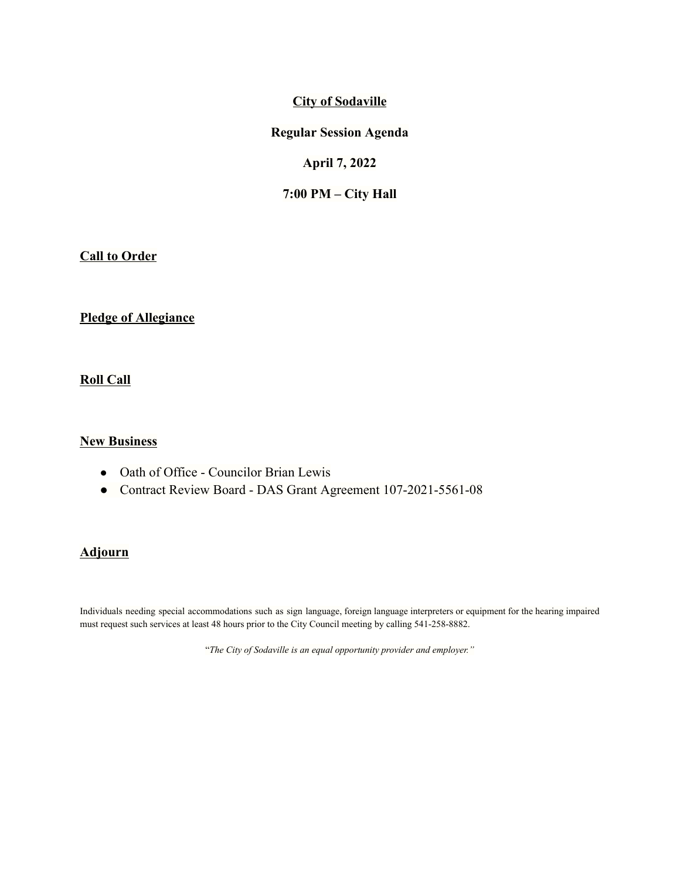## **City of Sodaville**

#### **Regular Session Agenda**

## **April 7, 2022**

### **7:00 PM – City Hall**

**Call to Order**

### **Pledge of Allegiance**

**Roll Call**

### **New Business**

- Oath of Office Councilor Brian Lewis
- Contract Review Board DAS Grant Agreement 107-2021-5561-08

# **Adjourn**

Individuals needing special accommodations such as sign language, foreign language interpreters or equipment for the hearing impaired must request such services at least 48 hours prior to the City Council meeting by calling 541-258-8882.

"*The City of Sodaville is an equal opportunity provider and employer."*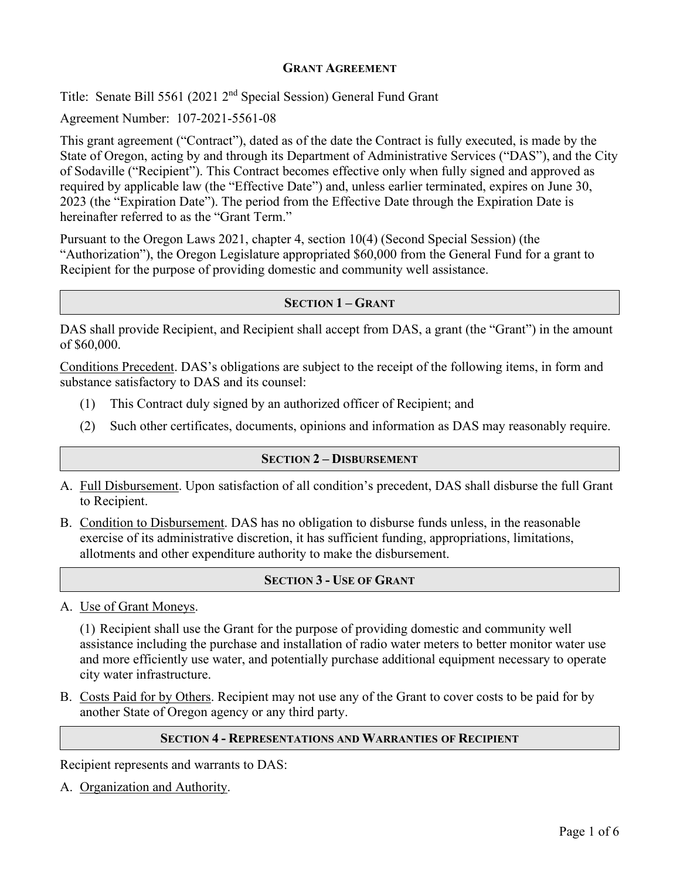## **GRANT AGREEMENT**

Title: Senate Bill 5561 (2021 2nd Special Session) General Fund Grant

Agreement Number: 107-2021-5561-08

This grant agreement ("Contract"), dated as of the date the Contract is fully executed, is made by the State of Oregon, acting by and through its Department of Administrative Services ("DAS"), and the City of Sodaville ("Recipient"). This Contract becomes effective only when fully signed and approved as required by applicable law (the "Effective Date") and, unless earlier terminated, expires on June 30, 2023 (the "Expiration Date"). The period from the Effective Date through the Expiration Date is hereinafter referred to as the "Grant Term."

Pursuant to the Oregon Laws 2021, chapter 4, section 10(4) (Second Special Session) (the "Authorization"), the Oregon Legislature appropriated \$60,000 from the General Fund for a grant to Recipient for the purpose of providing domestic and community well assistance.

#### **SECTION 1 – GRANT**

DAS shall provide Recipient, and Recipient shall accept from DAS, a grant (the "Grant") in the amount of \$60,000.

Conditions Precedent. DAS's obligations are subject to the receipt of the following items, in form and substance satisfactory to DAS and its counsel:

- (1) This Contract duly signed by an authorized officer of Recipient; and
- (2) Such other certificates, documents, opinions and information as DAS may reasonably require.

## **SECTION 2 – DISBURSEMENT**

- A. Full Disbursement. Upon satisfaction of all condition's precedent, DAS shall disburse the full Grant to Recipient.
- B. Condition to Disbursement. DAS has no obligation to disburse funds unless, in the reasonable exercise of its administrative discretion, it has sufficient funding, appropriations, limitations, allotments and other expenditure authority to make the disbursement.

## **SECTION 3 - USE OF GRANT**

A. Use of Grant Moneys.

(1) Recipient shall use the Grant for the purpose of providing domestic and community well assistance including the purchase and installation of radio water meters to better monitor water use and more efficiently use water, and potentially purchase additional equipment necessary to operate city water infrastructure.

B. Costs Paid for by Others. Recipient may not use any of the Grant to cover costs to be paid for by another State of Oregon agency or any third party.

#### **SECTION 4 - REPRESENTATIONS AND WARRANTIES OF RECIPIENT**

Recipient represents and warrants to DAS:

A. Organization and Authority.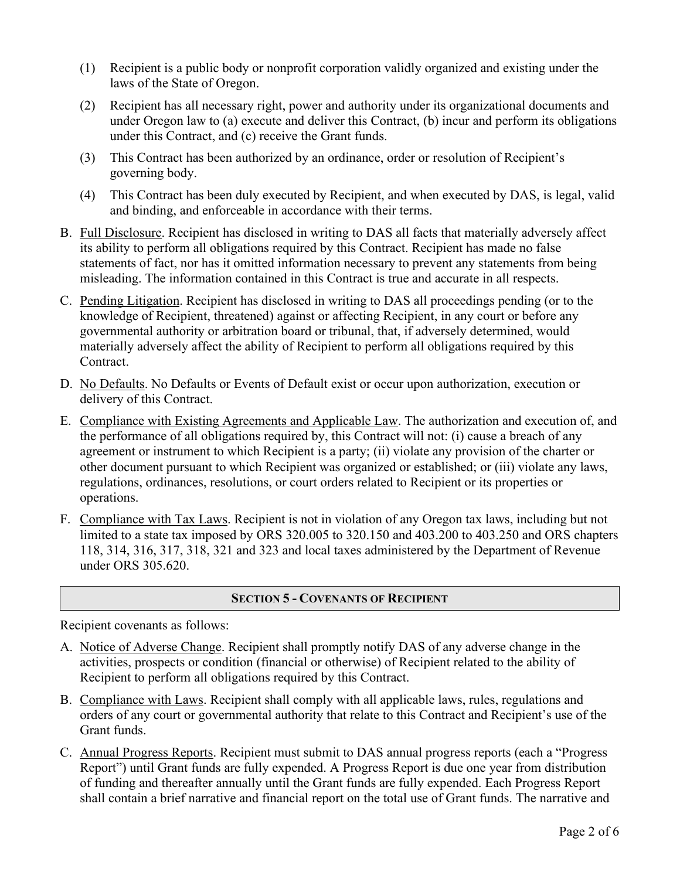- (1) Recipient is a public body or nonprofit corporation validly organized and existing under the laws of the State of Oregon.
- (2) Recipient has all necessary right, power and authority under its organizational documents and under Oregon law to (a) execute and deliver this Contract, (b) incur and perform its obligations under this Contract, and (c) receive the Grant funds.
- (3) This Contract has been authorized by an ordinance, order or resolution of Recipient's governing body.
- (4) This Contract has been duly executed by Recipient, and when executed by DAS, is legal, valid and binding, and enforceable in accordance with their terms.
- B. Full Disclosure. Recipient has disclosed in writing to DAS all facts that materially adversely affect its ability to perform all obligations required by this Contract. Recipient has made no false statements of fact, nor has it omitted information necessary to prevent any statements from being misleading. The information contained in this Contract is true and accurate in all respects.
- C. Pending Litigation. Recipient has disclosed in writing to DAS all proceedings pending (or to the knowledge of Recipient, threatened) against or affecting Recipient, in any court or before any governmental authority or arbitration board or tribunal, that, if adversely determined, would materially adversely affect the ability of Recipient to perform all obligations required by this Contract.
- D. No Defaults. No Defaults or Events of Default exist or occur upon authorization, execution or delivery of this Contract.
- E. Compliance with Existing Agreements and Applicable Law. The authorization and execution of, and the performance of all obligations required by, this Contract will not: (i) cause a breach of any agreement or instrument to which Recipient is a party; (ii) violate any provision of the charter or other document pursuant to which Recipient was organized or established; or (iii) violate any laws, regulations, ordinances, resolutions, or court orders related to Recipient or its properties or operations.
- F. Compliance with Tax Laws. Recipient is not in violation of any Oregon tax laws, including but not limited to a state tax imposed by ORS 320.005 to 320.150 and 403.200 to 403.250 and ORS chapters 118, 314, 316, 317, 318, 321 and 323 and local taxes administered by the Department of Revenue under ORS 305.620.

# **SECTION 5 - COVENANTS OF RECIPIENT**

Recipient covenants as follows:

- A. Notice of Adverse Change. Recipient shall promptly notify DAS of any adverse change in the activities, prospects or condition (financial or otherwise) of Recipient related to the ability of Recipient to perform all obligations required by this Contract.
- B. Compliance with Laws. Recipient shall comply with all applicable laws, rules, regulations and orders of any court or governmental authority that relate to this Contract and Recipient's use of the Grant funds.
- C. Annual Progress Reports. Recipient must submit to DAS annual progress reports (each a "Progress Report") until Grant funds are fully expended. A Progress Report is due one year from distribution of funding and thereafter annually until the Grant funds are fully expended. Each Progress Report shall contain a brief narrative and financial report on the total use of Grant funds. The narrative and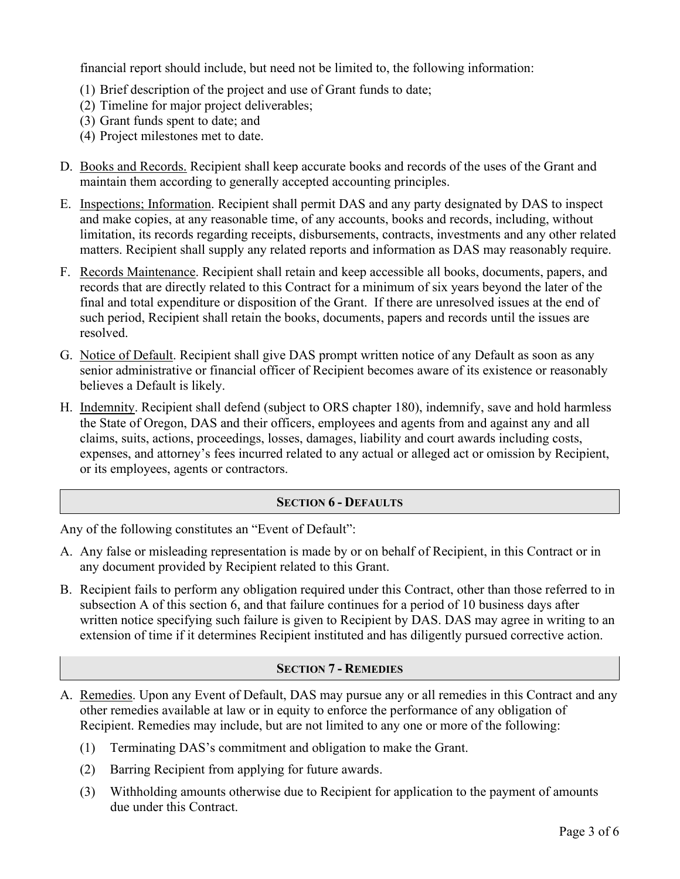financial report should include, but need not be limited to, the following information:

- (1) Brief description of the project and use of Grant funds to date;
- (2) Timeline for major project deliverables;
- (3) Grant funds spent to date; and
- (4) Project milestones met to date.
- D. Books and Records. Recipient shall keep accurate books and records of the uses of the Grant and maintain them according to generally accepted accounting principles.
- E. Inspections; Information. Recipient shall permit DAS and any party designated by DAS to inspect and make copies, at any reasonable time, of any accounts, books and records, including, without limitation, its records regarding receipts, disbursements, contracts, investments and any other related matters. Recipient shall supply any related reports and information as DAS may reasonably require.
- F. Records Maintenance. Recipient shall retain and keep accessible all books, documents, papers, and records that are directly related to this Contract for a minimum of six years beyond the later of the final and total expenditure or disposition of the Grant. If there are unresolved issues at the end of such period, Recipient shall retain the books, documents, papers and records until the issues are resolved.
- G. Notice of Default. Recipient shall give DAS prompt written notice of any Default as soon as any senior administrative or financial officer of Recipient becomes aware of its existence or reasonably believes a Default is likely.
- H. Indemnity. Recipient shall defend (subject to ORS chapter 180), indemnify, save and hold harmless the State of Oregon, DAS and their officers, employees and agents from and against any and all claims, suits, actions, proceedings, losses, damages, liability and court awards including costs, expenses, and attorney's fees incurred related to any actual or alleged act or omission by Recipient, or its employees, agents or contractors.

# **SECTION 6 - DEFAULTS**

Any of the following constitutes an "Event of Default":

- A. Any false or misleading representation is made by or on behalf of Recipient, in this Contract or in any document provided by Recipient related to this Grant.
- B. Recipient fails to perform any obligation required under this Contract, other than those referred to in subsection A of this section 6, and that failure continues for a period of 10 business days after written notice specifying such failure is given to Recipient by DAS. DAS may agree in writing to an extension of time if it determines Recipient instituted and has diligently pursued corrective action.

# **SECTION 7 - REMEDIES**

- A. Remedies. Upon any Event of Default, DAS may pursue any or all remedies in this Contract and any other remedies available at law or in equity to enforce the performance of any obligation of Recipient. Remedies may include, but are not limited to any one or more of the following:
	- (1) Terminating DAS's commitment and obligation to make the Grant.
	- (2) Barring Recipient from applying for future awards.
	- (3) Withholding amounts otherwise due to Recipient for application to the payment of amounts due under this Contract.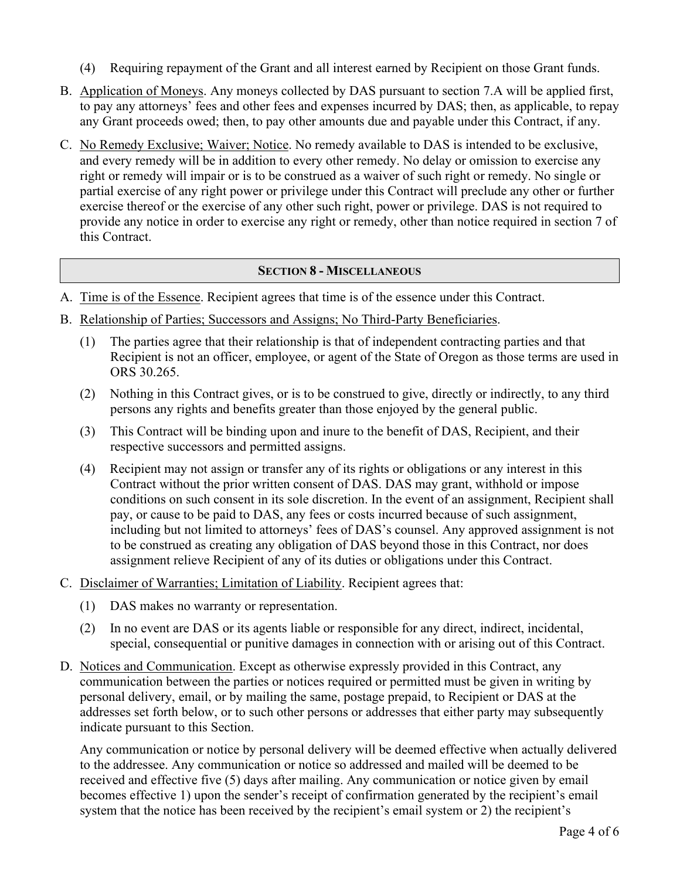- (4) Requiring repayment of the Grant and all interest earned by Recipient on those Grant funds.
- B. Application of Moneys. Any moneys collected by DAS pursuant to section 7.A will be applied first, to pay any attorneys' fees and other fees and expenses incurred by DAS; then, as applicable, to repay any Grant proceeds owed; then, to pay other amounts due and payable under this Contract, if any.
- C. No Remedy Exclusive; Waiver; Notice. No remedy available to DAS is intended to be exclusive, and every remedy will be in addition to every other remedy. No delay or omission to exercise any right or remedy will impair or is to be construed as a waiver of such right or remedy. No single or partial exercise of any right power or privilege under this Contract will preclude any other or further exercise thereof or the exercise of any other such right, power or privilege. DAS is not required to provide any notice in order to exercise any right or remedy, other than notice required in section 7 of this Contract.

## **SECTION 8 - MISCELLANEOUS**

- A. Time is of the Essence. Recipient agrees that time is of the essence under this Contract.
- B. Relationship of Parties; Successors and Assigns; No Third-Party Beneficiaries.
	- (1) The parties agree that their relationship is that of independent contracting parties and that Recipient is not an officer, employee, or agent of the State of Oregon as those terms are used in ORS 30.265.
	- (2) Nothing in this Contract gives, or is to be construed to give, directly or indirectly, to any third persons any rights and benefits greater than those enjoyed by the general public.
	- (3) This Contract will be binding upon and inure to the benefit of DAS, Recipient, and their respective successors and permitted assigns.
	- (4) Recipient may not assign or transfer any of its rights or obligations or any interest in this Contract without the prior written consent of DAS. DAS may grant, withhold or impose conditions on such consent in its sole discretion. In the event of an assignment, Recipient shall pay, or cause to be paid to DAS, any fees or costs incurred because of such assignment, including but not limited to attorneys' fees of DAS's counsel. Any approved assignment is not to be construed as creating any obligation of DAS beyond those in this Contract, nor does assignment relieve Recipient of any of its duties or obligations under this Contract.
- C. Disclaimer of Warranties; Limitation of Liability. Recipient agrees that:
	- (1) DAS makes no warranty or representation.
	- (2) In no event are DAS or its agents liable or responsible for any direct, indirect, incidental, special, consequential or punitive damages in connection with or arising out of this Contract.
- D. Notices and Communication. Except as otherwise expressly provided in this Contract, any communication between the parties or notices required or permitted must be given in writing by personal delivery, email, or by mailing the same, postage prepaid, to Recipient or DAS at the addresses set forth below, or to such other persons or addresses that either party may subsequently indicate pursuant to this Section.

 Any communication or notice by personal delivery will be deemed effective when actually delivered to the addressee. Any communication or notice so addressed and mailed will be deemed to be received and effective five (5) days after mailing. Any communication or notice given by email becomes effective 1) upon the sender's receipt of confirmation generated by the recipient's email system that the notice has been received by the recipient's email system or 2) the recipient's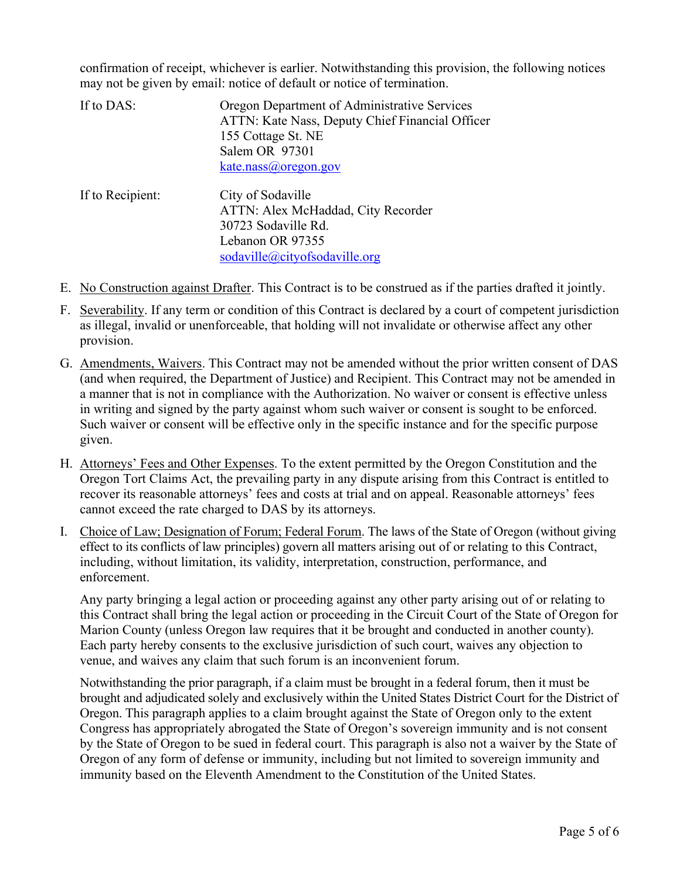confirmation of receipt, whichever is earlier. Notwithstanding this provision, the following notices may not be given by email: notice of default or notice of termination.

| If to DAS:       | Oregon Department of Administrative Services<br>ATTN: Kate Nass, Deputy Chief Financial Officer<br>155 Cottage St. NE<br>Salem OR 97301 |
|------------------|-----------------------------------------------------------------------------------------------------------------------------------------|
| If to Recipient: | kate.nass@oregon.gov<br>City of Sodaville                                                                                               |
|                  | ATTN: Alex McHaddad, City Recorder<br>30723 Sodaville Rd.<br>Lebanon OR 97355                                                           |

[sodaville@cityofsodaville.org](mailto:sodaville@cityofsodaville.org) 

- E. No Construction against Drafter. This Contract is to be construed as if the parties drafted it jointly.
- F. Severability. If any term or condition of this Contract is declared by a court of competent jurisdiction as illegal, invalid or unenforceable, that holding will not invalidate or otherwise affect any other provision.
- G. Amendments, Waivers. This Contract may not be amended without the prior written consent of DAS (and when required, the Department of Justice) and Recipient. This Contract may not be amended in a manner that is not in compliance with the Authorization. No waiver or consent is effective unless in writing and signed by the party against whom such waiver or consent is sought to be enforced. Such waiver or consent will be effective only in the specific instance and for the specific purpose given.
- H. Attorneys' Fees and Other Expenses. To the extent permitted by the Oregon Constitution and the Oregon Tort Claims Act, the prevailing party in any dispute arising from this Contract is entitled to recover its reasonable attorneys' fees and costs at trial and on appeal. Reasonable attorneys' fees cannot exceed the rate charged to DAS by its attorneys.
- I. Choice of Law; Designation of Forum; Federal Forum. The laws of the State of Oregon (without giving effect to its conflicts of law principles) govern all matters arising out of or relating to this Contract, including, without limitation, its validity, interpretation, construction, performance, and enforcement.

 Any party bringing a legal action or proceeding against any other party arising out of or relating to this Contract shall bring the legal action or proceeding in the Circuit Court of the State of Oregon for Marion County (unless Oregon law requires that it be brought and conducted in another county). Each party hereby consents to the exclusive jurisdiction of such court, waives any objection to venue, and waives any claim that such forum is an inconvenient forum.

Notwithstanding the prior paragraph, if a claim must be brought in a federal forum, then it must be brought and adjudicated solely and exclusively within the United States District Court for the District of Oregon. This paragraph applies to a claim brought against the State of Oregon only to the extent Congress has appropriately abrogated the State of Oregon's sovereign immunity and is not consent by the State of Oregon to be sued in federal court. This paragraph is also not a waiver by the State of Oregon of any form of defense or immunity, including but not limited to sovereign immunity and immunity based on the Eleventh Amendment to the Constitution of the United States.